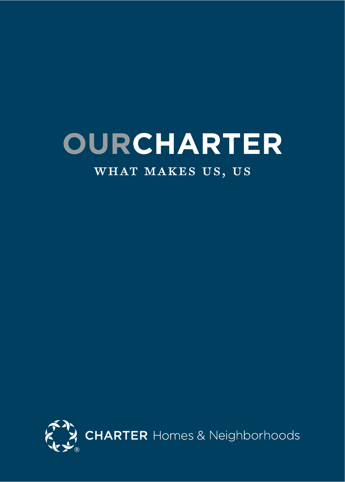# **OURCHARTER**

### WHAT MAKES US, US

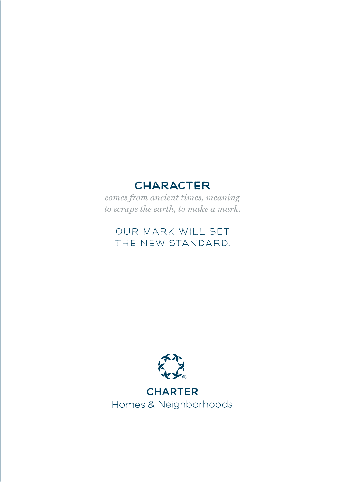### **CHARACTER**

*comes from ancient times, meaning to scrape the earth, to make a mark.*

### OUR MARK WILL SET THE NEW STANDARD.



**CHARTER** Homes & Neighborhoods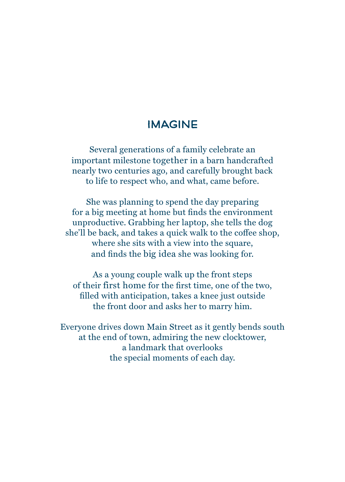### IMAGINE

Several generations of a family celebrate an important milestone together in a barn handcrafted nearly two centuries ago, and carefully brought back to life to respect who, and what, came before.

She was planning to spend the day preparing for a big meeting at home but finds the environment unproductive. Grabbing her laptop, she tells the dog she'll be back, and takes a quick walk to the coffee shop, where she sits with a view into the square, and finds the big idea she was looking for.

As a young couple walk up the front steps of their first home for the first time, one of the two, filled with anticipation, takes a knee just outside the front door and asks her to marry him.

Everyone drives down Main Street as it gently bends south at the end of town, admiring the new clocktower, a landmark that overlooks the special moments of each day.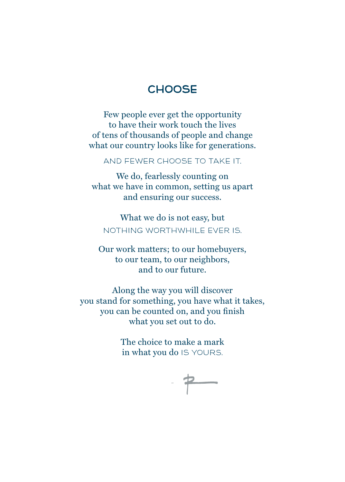### **CHOOSE**

Few people ever get the opportunity to have their work touch the lives of tens of thousands of people and change what our country looks like for generations.

AND FEWER CHOOSE TO TAKE IT.

We do, fearlessly counting on what we have in common, setting us apart and ensuring our success.

What we do is not easy, but NOTHING WORTHWHILE EVER IS.

Our work matters; to our homebuyers, to our team, to our neighbors, and to our future.

Along the way you will discover you stand for something, you have what it takes, you can be counted on, and you finish what you set out to do.

> The choice to make a mark in what you do IS YOURS.

$$
\cdot \not\Rightarrow
$$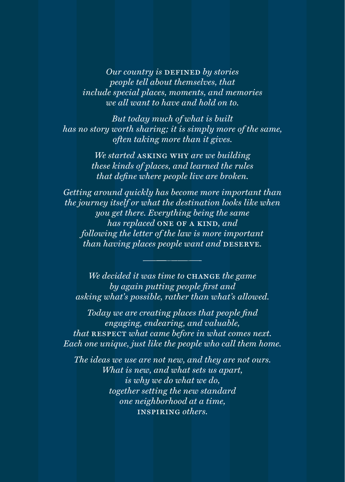*Our country is DEFINED by stories people tell about themselves, that include special places, moments, and memories we all want to have and hold on to.*

*But today much of what is built has no story worth sharing; it is simply more of the same, often taking more than it gives.*

> *We started* asking why *are we building these kinds of places, and learned the rules that define where people live are broken.*

*Getting around quickly has become more important than the journey itself or what the destination looks like when you get there. Everything being the same has replaced* one of a kind*, and following the letter of the law is more important than having places people want and DESERVE.* 

*We decided it was time to* change *the game by again putting people first and asking what's possible, rather than what's allowed.*

*Today we are creating places that people find engaging, endearing, and valuable, that* respect *what came before in what comes next. Each one unique, just like the people who call them home.*

*The ideas we use are not new, and they are not ours. What is new, and what sets us apart, is why we do what we do, together setting the new standard one neighborhood at a time,*  inspiring *others.*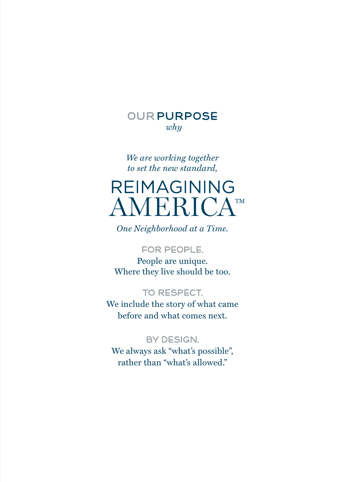

*We are working together to set the new standard,*

# **REIMAGINING AMERICATM**

*One Neighborhood at a Time.*

#### FOR PEOPLE.

People are unique. Where they live should be too.

#### TO RESPECT.

We include the story of what came before and what comes next.

#### BY DESIGN.

We always ask "what's possible", rather than "what's allowed."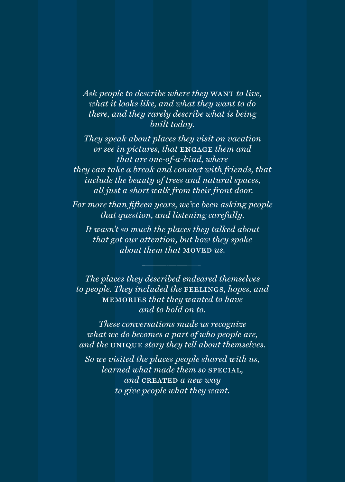*Ask people to describe where they* WANT *to live*, *what it looks like, and what they want to do there, and they rarely describe what is being built today.*

*They speak about places they visit on vacation or see in pictures, that* engage *them and that are one-of-a-kind, where they can take a break and connect with friends, that include the beauty of trees and natural spaces, all just a short walk from their front door.*

*For more than fifteen years, we've been asking people that question, and listening carefully.*

*It wasn't so much the places they talked about that got our attention, but how they spoke about them that* moved *us.*

*The places they described endeared themselves to people. They included the* feelings*, hopes, and*  memories *that they wanted to have and to hold on to.*

*These conversations made us recognize what we do becomes a part of who people are, and the* unique *story they tell about themselves.*

*So we visited the places people shared with us, learned what made them so* special*, and* created *a new way to give people what they want.*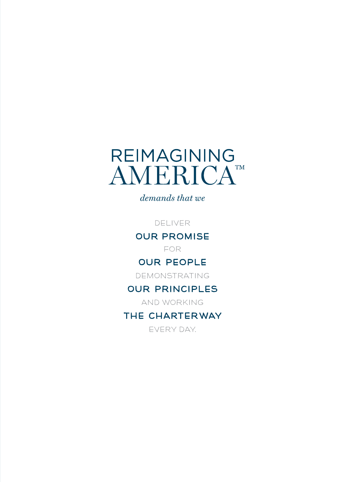

*demands that we*

DELIVER

OUR PROMISE

FOR

#### OUR PEOPLE

DEMONSTRATING

#### OUR PRINCIPLES

AND WORKING

### THE CHARTER WAY

EVERY DAY.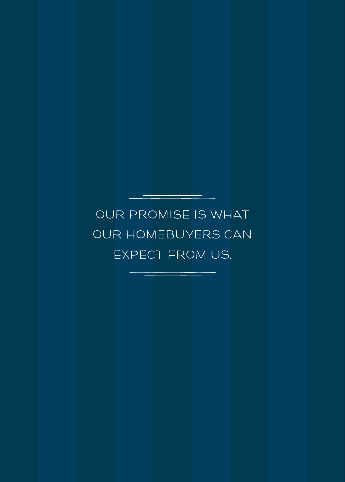# OUR PROMISE IS WHAT OUR HOMEBUYERS CAN EXPECT FROM US.

<u> Louis Communication (Louis Communication)</u>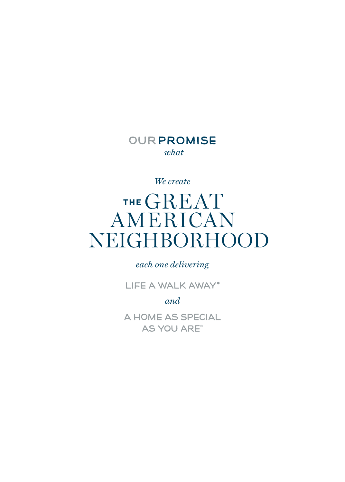### OUR PROMISE *what*

*We create*

# THE GREAT AMERICAN NEIGHBORHOOD

*each one delivering*

LIFE A WALK AWAY®

*and*

A HOME AS SPECIAL AS YOU ARE®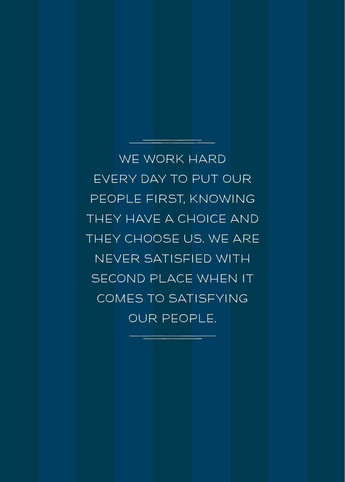WE WORK HARD EVERY DAY TO PUT OUR PEOPLE FIRST, KNOWING THEY HAVE A CHOICE AND THEY CHOOSE US. WE ARE NEVER SATISFIED WITH SECOND PLACE WHEN IT COMES TO SATISFYING OUR PEOPLE.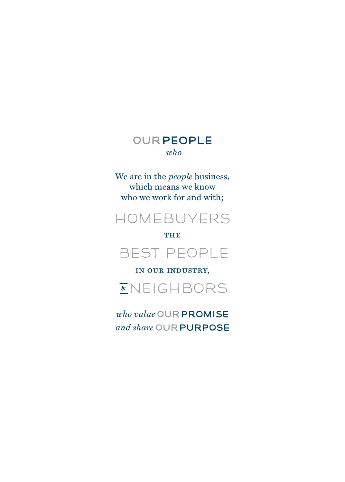### OUR PEOPLE *who*

We are in the *people* business, which means we know who we work for and with;



#### **THE**



in our industry,

NEIGHBORS

*who value* OUR PROMISE *and share* OUR PURPOSE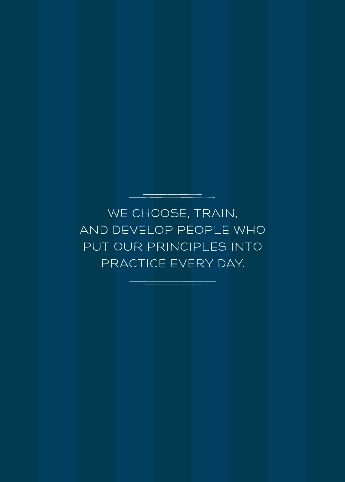WE CHOOSE, TRAIN, AND DEVELOP PEOPLE WHO PUT OUR PRINCIPLES INTO PRACTICE EVERY DAY.

\_\_\_\_\_\_\_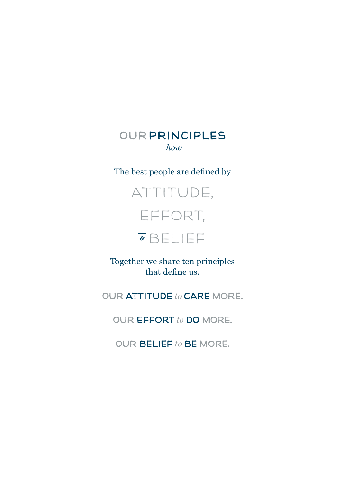### OUR PRINCIPLES *how*

#### The best people are defined by



Together we share ten principles that define us.

OUR ATTITUDE *to* CARE MORE.

OUR EFFORT *to* DO MORE.

OUR BELIEF *to* BE MORE.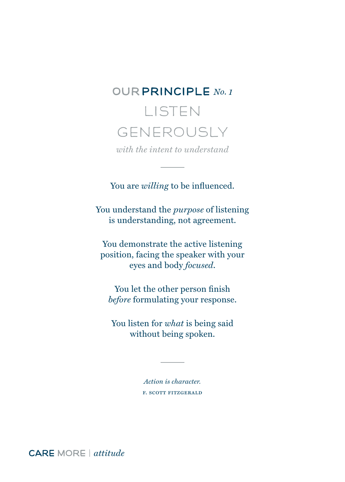# OUR PRINCIPLE *No. 1* LISTEN GENEROUSLY

*with the intent to understand*

You are *willing* to be influenced.

You understand the *purpose* of listening is understanding, not agreement.

You demonstrate the active listening position, facing the speaker with your eyes and body *focused*.

You let the other person finish *before* formulating your response.

You listen for *what* is being said without being spoken.

> *Action is character.* f. scott fitzgerald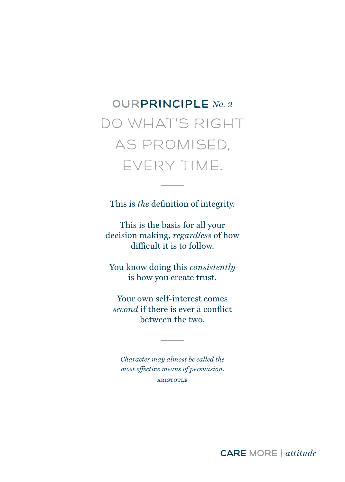# OURPRINCIPLE *No. 2* DO WHAT'S RIGHT AS PROMISED, EVERY TIME.

This is *the* definition of integrity.

This is the basis for all your decision making, *regardless* of how difficult it is to follow.

You know doing this *consistently* is how you create trust.

Your own self-interest comes *second* if there is ever a conflict between the two.

*Character may almost be called the most effective means of persuasion.* **ARISTOTLE**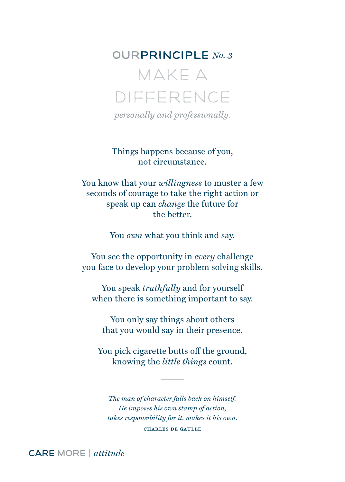MAKE A DIFFERENCE

*personally and professionally.*

Things happens because of you, not circumstance.

You know that your *willingness* to muster a few seconds of courage to take the right action or speak up can *change* the future for the better.

You *own* what you think and say.

You see the opportunity in *every* challenge you face to develop your problem solving skills.

You speak *truthfully* and for yourself when there is something important to say.

You only say things about others that you would say in their presence.

You pick cigarette butts off the ground, knowing the *little things* count.

*The man of character falls back on himself. He imposes his own stamp of action, takes responsibility for it, makes it his own.* charles de gaulle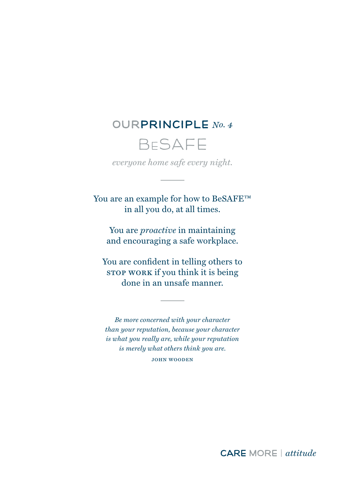## BeSAFE

*everyone home safe every night.*

You are an example for how to BeSAFE™ in all you do, at all times.

You are *proactive* in maintaining and encouraging a safe workplace.

You are confident in telling others to stop work if you think it is being done in an unsafe manner.

*Be more concerned with your character than your reputation, because your character is what you really are, while your reputation is merely what others think you are.* john wooden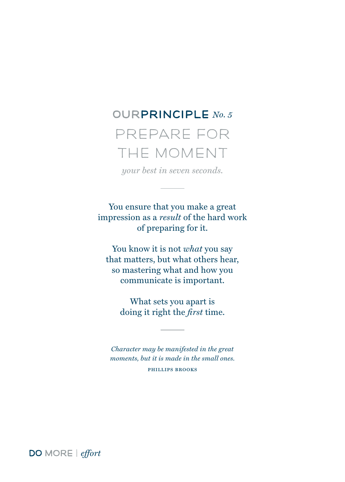PREPARE FOR THE MOMENT

*your best in seven seconds.*

You ensure that you make a great impression as a *result* of the hard work of preparing for it.

You know it is not *what* you say that matters, but what others hear, so mastering what and how you communicate is important.

> What sets you apart is doing it right the *first* time.

*Character may be manifested in the great moments, but it is made in the small ones.* phillips brooks

DO MORE | *effort*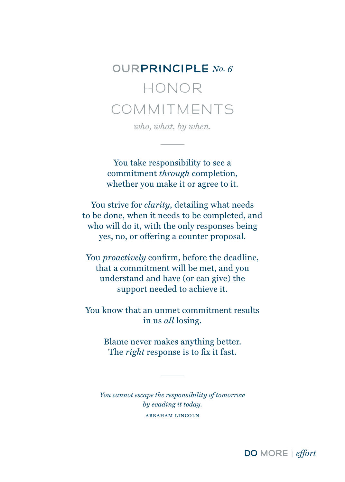# OURPRINCIPLE *No. 6* HONOR COMMITMENTS

*who, what, by when.*

You take responsibility to see a commitment *through* completion, whether you make it or agree to it.

You strive for *clarity*, detailing what needs to be done, when it needs to be completed, and who will do it, with the only responses being yes, no, or offering a counter proposal.

You *proactively* confirm, before the deadline, that a commitment will be met, and you understand and have (or can give) the support needed to achieve it.

You know that an unmet commitment results in us *all* losing.

> Blame never makes anything better. The *right* response is to fix it fast.

*You cannot escape the responsibility of tomorrow by evading it today.*  abraham lincoln

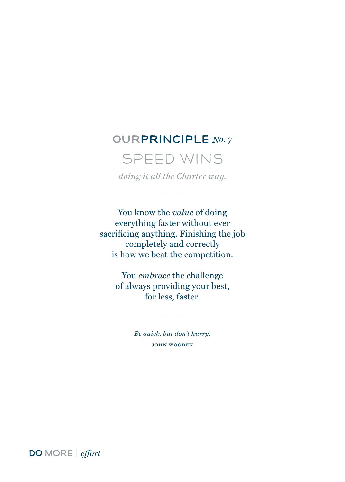### SPEED WINS

*doing it all the Charter way.*

You know the *value* of doing everything faster without ever sacrificing anything. Finishing the job completely and correctly is how we beat the competition.

> You *embrace* the challenge of always providing your best, for less, faster.

> > *Be quick, but don't hurry.* john wooden

DO MORE | *effort*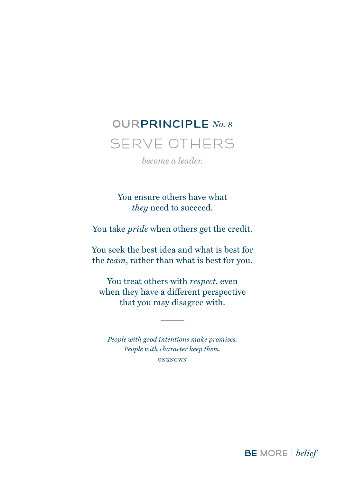# OURPRINCIPLE *No. 8* SERVE OTHERS

*become a leader.*

You ensure others have what *they* need to succeed.

You take *pride* when others get the credit.

You seek the best idea and what is best for the *team*, rather than what is best for you.

You treat others with *respect*, even when they have a different perspective that you may disagree with.

*People with good intentions make promises. People with character keep them.* unknown

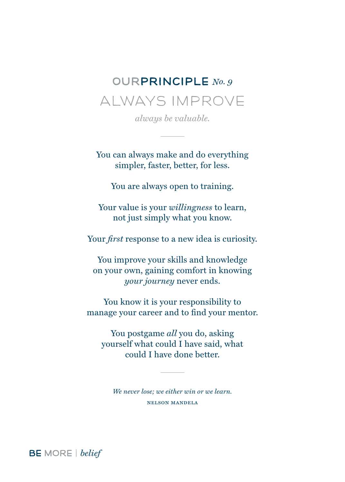# OURPRINCIPLE *No. 9* ALWAYS IMPROVE

*always be valuable.*

You can always make and do everything simpler, faster, better, for less.

You are always open to training.

Your value is your *willingness* to learn, not just simply what you know.

Your *first* response to a new idea is curiosity.

You improve your skills and knowledge on your own, gaining comfort in knowing *your journey* never ends.

You know it is your responsibility to manage your career and to find your mentor.

You postgame *all* you do, asking yourself what could I have said, what could I have done better.

*We never lose; we either win or we learn.* nelson mandela

BE MORE | *belief*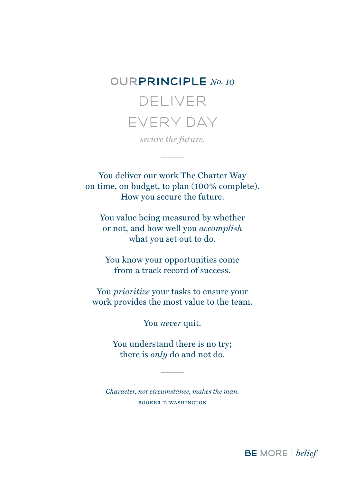### OURPRINCIPLE *No. 10* DELIVER

### EVERY DAY *secure the future.*

You deliver our work The Charter Way on time, on budget, to plan (100% complete).

How you secure the future.

You value being measured by whether or not, and how well you *accomplish* what you set out to do.

You know your opportunities come from a track record of success.

You *prioritize* your tasks to ensure your work provides the most value to the team.

You *never* quit.

You understand there is no try; there is *only* do and not do.

*Character, not circumstance, makes the man.* booker t. washington

BE MORE | *belief*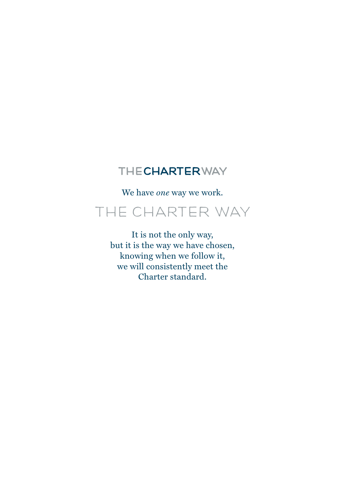### THECHARTERWAY

We have *one* way we work.

### THE CHARTER WAY

It is not the only way, but it is the way we have chosen, knowing when we follow it, we will consistently meet the Charter standard.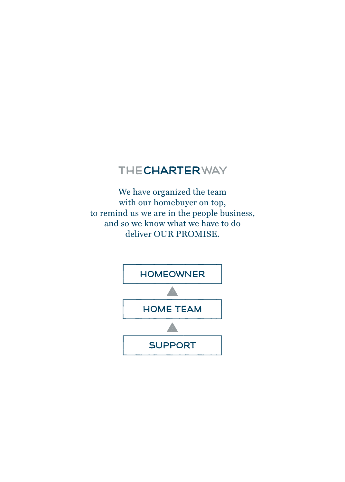### THECHARTERWAY

We have organized the team with our homebuyer on top, to remind us we are in the people business, and so we know what we have to do deliver OUR PROMISE.

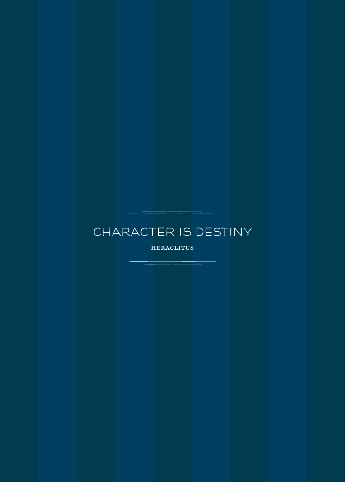### CHARACTER IS DESTINY

heraclitus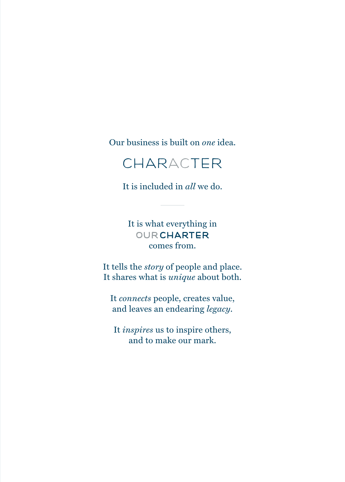Our business is built on *one* idea.

### **CHARACTER**

It is included in *all* we do.

It is what everything in **OUR CHARTER** comes from.

It tells the *story* of people and place. It shares what is *unique* about both.

It *connects* people, creates value, and leaves an endearing *legacy*.

It *inspires* us to inspire others, and to make our mark.